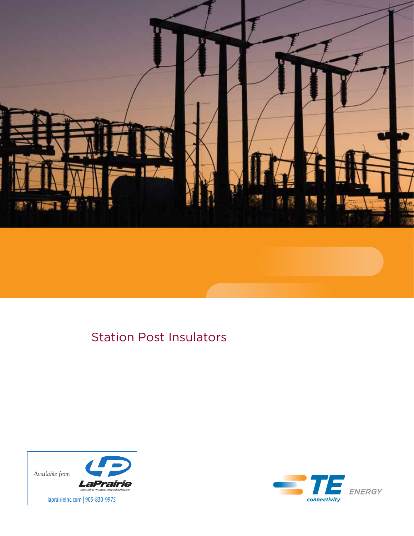

# Station Post Insulators



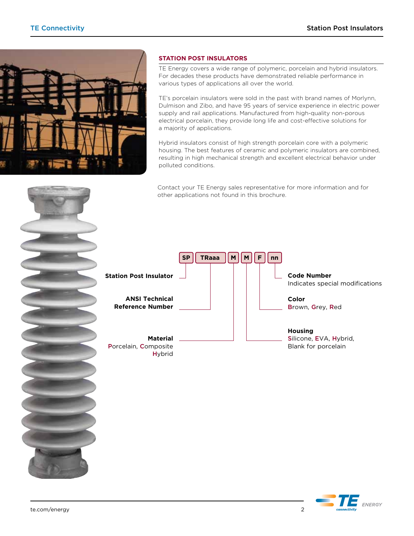

# **Station Post Insulators**

TE Energy covers a wide range of polymeric, porcelain and hybrid insulators. For decades these products have demonstrated reliable performance in various types of applications all over the world.

TE's porcelain insulators were sold in the past with brand names of Morlynn, Dulmison and Zibo, and have 95 years of service experience in electric power supply and rail applications. Manufactured from high-quality non-porous electrical porcelain, they provide long life and cost-effective solutions for a majority of applications.

Hybrid insulators consist of high strength porcelain core with a polymeric housing. The best features of ceramic and polymeric insulators are combined, resulting in high mechanical strength and excellent electrical behavior under polluted conditions.

Contact your TE Energy sales representative for more information and for other applications not found in this brochure.





E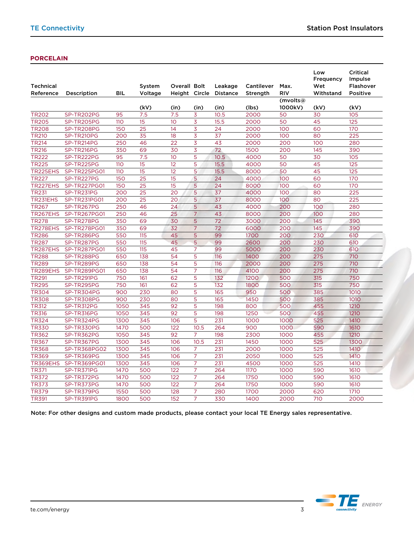## **Porcelain**

| (kV)<br>(in)<br>(in)<br>(in)<br>(lbs)<br>1000kV)<br>(kV)<br>(kV)<br><b>TR202</b><br>95<br>2000<br>105<br>SP-TR202PG<br>7.5<br>7.5<br>3<br>10.5<br>50<br>30<br>$\overline{15}$<br>3<br>15.5<br><b>TR205</b><br>SP-TR205PG<br>110<br>10 <sup>°</sup><br>2000<br>50<br>45<br>125<br>$\overline{25}$<br>3<br>60<br>150<br>14<br>24<br>2000<br>100<br>170<br><b>TR208</b><br>SP-TR208PG<br><b>TR210</b><br>$\overline{35}$<br>3<br>SP-TR210PG<br>200<br>18<br>37<br>2000<br>100<br>80<br>225<br>$\overline{3}$<br>250<br>$\overline{22}$<br>43<br>TR214<br>SP-TR214PG<br>46<br>2000<br>200<br>100<br>280<br>3<br><b>TR216</b><br>350<br>69<br>30<br>72<br>1500<br>200<br>145<br>390<br>SP-TR216PG<br><b>TR222</b><br>95<br>7.5<br>5<br>4000<br>105<br>SP-TR222PG<br>10 <sup>°</sup><br>10.5<br>50<br>30<br><b>TR225</b><br>15<br>5<br>15.5<br>50<br>45<br>125<br>SP-TR225PG<br>110<br>12<br>4000<br>$\overline{15}$<br>5<br>TR225EHS<br>SP-TR225PG01<br>110<br>12<br>15.5<br>50<br>45<br>125<br>8000<br>$\overline{25}$<br>5<br><b>TR227</b><br>150<br>15<br>100<br>60<br>170<br>SP-TR227PG<br>24<br>4000<br>TR227EHS<br>$\overline{25}$<br>$\overline{15}$<br>5<br>SP-TR227PG01<br>150<br>24<br>100<br>60<br>170<br>8000<br>$\overline{25}$<br>5<br><b>TR231</b><br>SP-TR231PG<br>200<br>20<br>37<br>100<br>80<br>225<br>4000<br>$\overline{25}$<br>TR231EHS<br>SP-TR231PG01<br>200<br>5<br>37<br>80<br>225<br>20<br>8000<br>100<br><b>TR267</b><br>250<br>5<br>43<br>SP-TR267PG<br>46<br>24<br>4000<br>200<br>100<br>280 | <b>Technical</b><br>Reference | Description  | <b>BIL</b> | System<br>Voltage | Overall Bolt<br>Height Circle |                | Leakage<br><b>Distance</b> | Cantilever<br>Strength | Max.<br>RIV | Low<br>Frequency<br>Wet<br>Withstand | <b>Critical</b><br>Impulse<br>Flashover<br>Positive |
|-----------------------------------------------------------------------------------------------------------------------------------------------------------------------------------------------------------------------------------------------------------------------------------------------------------------------------------------------------------------------------------------------------------------------------------------------------------------------------------------------------------------------------------------------------------------------------------------------------------------------------------------------------------------------------------------------------------------------------------------------------------------------------------------------------------------------------------------------------------------------------------------------------------------------------------------------------------------------------------------------------------------------------------------------------------------------------------------------------------------------------------------------------------------------------------------------------------------------------------------------------------------------------------------------------------------------------------------------------------------------------------------------------------------------------------------------------------------------------------------------------------------------|-------------------------------|--------------|------------|-------------------|-------------------------------|----------------|----------------------------|------------------------|-------------|--------------------------------------|-----------------------------------------------------|
|                                                                                                                                                                                                                                                                                                                                                                                                                                                                                                                                                                                                                                                                                                                                                                                                                                                                                                                                                                                                                                                                                                                                                                                                                                                                                                                                                                                                                                                                                                                       |                               |              |            |                   |                               |                |                            |                        | (mvolts@    |                                      |                                                     |
|                                                                                                                                                                                                                                                                                                                                                                                                                                                                                                                                                                                                                                                                                                                                                                                                                                                                                                                                                                                                                                                                                                                                                                                                                                                                                                                                                                                                                                                                                                                       |                               |              |            |                   |                               |                |                            |                        |             |                                      |                                                     |
|                                                                                                                                                                                                                                                                                                                                                                                                                                                                                                                                                                                                                                                                                                                                                                                                                                                                                                                                                                                                                                                                                                                                                                                                                                                                                                                                                                                                                                                                                                                       |                               |              |            |                   |                               |                |                            |                        |             |                                      |                                                     |
|                                                                                                                                                                                                                                                                                                                                                                                                                                                                                                                                                                                                                                                                                                                                                                                                                                                                                                                                                                                                                                                                                                                                                                                                                                                                                                                                                                                                                                                                                                                       |                               |              |            |                   |                               |                |                            |                        |             |                                      |                                                     |
|                                                                                                                                                                                                                                                                                                                                                                                                                                                                                                                                                                                                                                                                                                                                                                                                                                                                                                                                                                                                                                                                                                                                                                                                                                                                                                                                                                                                                                                                                                                       |                               |              |            |                   |                               |                |                            |                        |             |                                      |                                                     |
|                                                                                                                                                                                                                                                                                                                                                                                                                                                                                                                                                                                                                                                                                                                                                                                                                                                                                                                                                                                                                                                                                                                                                                                                                                                                                                                                                                                                                                                                                                                       |                               |              |            |                   |                               |                |                            |                        |             |                                      |                                                     |
|                                                                                                                                                                                                                                                                                                                                                                                                                                                                                                                                                                                                                                                                                                                                                                                                                                                                                                                                                                                                                                                                                                                                                                                                                                                                                                                                                                                                                                                                                                                       |                               |              |            |                   |                               |                |                            |                        |             |                                      |                                                     |
|                                                                                                                                                                                                                                                                                                                                                                                                                                                                                                                                                                                                                                                                                                                                                                                                                                                                                                                                                                                                                                                                                                                                                                                                                                                                                                                                                                                                                                                                                                                       |                               |              |            |                   |                               |                |                            |                        |             |                                      |                                                     |
|                                                                                                                                                                                                                                                                                                                                                                                                                                                                                                                                                                                                                                                                                                                                                                                                                                                                                                                                                                                                                                                                                                                                                                                                                                                                                                                                                                                                                                                                                                                       |                               |              |            |                   |                               |                |                            |                        |             |                                      |                                                     |
|                                                                                                                                                                                                                                                                                                                                                                                                                                                                                                                                                                                                                                                                                                                                                                                                                                                                                                                                                                                                                                                                                                                                                                                                                                                                                                                                                                                                                                                                                                                       |                               |              |            |                   |                               |                |                            |                        |             |                                      |                                                     |
|                                                                                                                                                                                                                                                                                                                                                                                                                                                                                                                                                                                                                                                                                                                                                                                                                                                                                                                                                                                                                                                                                                                                                                                                                                                                                                                                                                                                                                                                                                                       |                               |              |            |                   |                               |                |                            |                        |             |                                      |                                                     |
|                                                                                                                                                                                                                                                                                                                                                                                                                                                                                                                                                                                                                                                                                                                                                                                                                                                                                                                                                                                                                                                                                                                                                                                                                                                                                                                                                                                                                                                                                                                       |                               |              |            |                   |                               |                |                            |                        |             |                                      |                                                     |
|                                                                                                                                                                                                                                                                                                                                                                                                                                                                                                                                                                                                                                                                                                                                                                                                                                                                                                                                                                                                                                                                                                                                                                                                                                                                                                                                                                                                                                                                                                                       |                               |              |            |                   |                               |                |                            |                        |             |                                      |                                                     |
|                                                                                                                                                                                                                                                                                                                                                                                                                                                                                                                                                                                                                                                                                                                                                                                                                                                                                                                                                                                                                                                                                                                                                                                                                                                                                                                                                                                                                                                                                                                       |                               |              |            |                   |                               |                |                            |                        |             |                                      |                                                     |
|                                                                                                                                                                                                                                                                                                                                                                                                                                                                                                                                                                                                                                                                                                                                                                                                                                                                                                                                                                                                                                                                                                                                                                                                                                                                                                                                                                                                                                                                                                                       |                               |              |            |                   |                               |                |                            |                        |             |                                      |                                                     |
|                                                                                                                                                                                                                                                                                                                                                                                                                                                                                                                                                                                                                                                                                                                                                                                                                                                                                                                                                                                                                                                                                                                                                                                                                                                                                                                                                                                                                                                                                                                       |                               |              |            |                   |                               |                |                            |                        |             |                                      |                                                     |
|                                                                                                                                                                                                                                                                                                                                                                                                                                                                                                                                                                                                                                                                                                                                                                                                                                                                                                                                                                                                                                                                                                                                                                                                                                                                                                                                                                                                                                                                                                                       | TR267EHS                      | SP-TR267PG01 | 250        | 46                | 25                            | $\overline{7}$ | 43                         | 8000                   | 200         | 100                                  | 280                                                 |
| <b>TR278</b><br>350<br>5<br>SP-TR278PG<br>69<br>30<br>72<br>3000<br>200<br>145<br>390                                                                                                                                                                                                                                                                                                                                                                                                                                                                                                                                                                                                                                                                                                                                                                                                                                                                                                                                                                                                                                                                                                                                                                                                                                                                                                                                                                                                                                 |                               |              |            |                   |                               |                |                            |                        |             |                                      |                                                     |
| TR278EHS<br>350<br>69<br>32<br>$\overline{7}$<br>72<br>145<br>390<br>SP-TR278PG01<br>6000<br>200                                                                                                                                                                                                                                                                                                                                                                                                                                                                                                                                                                                                                                                                                                                                                                                                                                                                                                                                                                                                                                                                                                                                                                                                                                                                                                                                                                                                                      |                               |              |            |                   |                               |                |                            |                        |             |                                      |                                                     |
| 5<br><b>TR286</b><br>550<br>115<br>45<br>99<br>200<br>230<br>610<br>SP-TR286PG<br>1700                                                                                                                                                                                                                                                                                                                                                                                                                                                                                                                                                                                                                                                                                                                                                                                                                                                                                                                                                                                                                                                                                                                                                                                                                                                                                                                                                                                                                                |                               |              |            |                   |                               |                |                            |                        |             |                                      |                                                     |
| 5<br><b>TR287</b><br>SP-TR287PG<br>550<br>115<br>45<br>99<br>2600<br>200<br>230<br>610                                                                                                                                                                                                                                                                                                                                                                                                                                                                                                                                                                                                                                                                                                                                                                                                                                                                                                                                                                                                                                                                                                                                                                                                                                                                                                                                                                                                                                |                               |              |            |                   |                               |                |                            |                        |             |                                      |                                                     |
| TR287EHS<br>550<br>115<br>$\overline{7}$<br>99<br>230<br>610<br>SP-TR287PG01<br>45<br>5000<br>200                                                                                                                                                                                                                                                                                                                                                                                                                                                                                                                                                                                                                                                                                                                                                                                                                                                                                                                                                                                                                                                                                                                                                                                                                                                                                                                                                                                                                     |                               |              |            |                   |                               |                |                            |                        |             |                                      |                                                     |
| <b>TR288</b><br>650<br>138<br>54<br>5<br>116<br>1400<br>200<br>275<br>710<br>SP-TR288PG                                                                                                                                                                                                                                                                                                                                                                                                                                                                                                                                                                                                                                                                                                                                                                                                                                                                                                                                                                                                                                                                                                                                                                                                                                                                                                                                                                                                                               |                               |              |            |                   |                               |                |                            |                        |             |                                      |                                                     |
| 5<br><b>TR289</b><br>650<br>138<br>54<br>275<br>SP-TR289PG<br>116<br>2000<br>200<br>710                                                                                                                                                                                                                                                                                                                                                                                                                                                                                                                                                                                                                                                                                                                                                                                                                                                                                                                                                                                                                                                                                                                                                                                                                                                                                                                                                                                                                               |                               |              |            |                   |                               |                |                            |                        |             |                                      |                                                     |
| TR289EHS<br>138<br>$\overline{7}$<br>SP-TR289PG01<br>650<br>54<br>116<br>4100<br>200<br>275<br>710                                                                                                                                                                                                                                                                                                                                                                                                                                                                                                                                                                                                                                                                                                                                                                                                                                                                                                                                                                                                                                                                                                                                                                                                                                                                                                                                                                                                                    |                               |              |            |                   |                               |                |                            |                        |             |                                      |                                                     |
| TR <sub>291</sub><br>SP-TR291PG<br>750<br>161<br>62<br>5<br>132<br>500<br>315<br>750<br>1200                                                                                                                                                                                                                                                                                                                                                                                                                                                                                                                                                                                                                                                                                                                                                                                                                                                                                                                                                                                                                                                                                                                                                                                                                                                                                                                                                                                                                          |                               |              |            |                   |                               |                |                            |                        |             |                                      |                                                     |
| <b>TR295</b><br>750<br>5<br>161<br>62<br>132<br>1800<br>500<br>315<br>750<br>SP-TR295PG                                                                                                                                                                                                                                                                                                                                                                                                                                                                                                                                                                                                                                                                                                                                                                                                                                                                                                                                                                                                                                                                                                                                                                                                                                                                                                                                                                                                                               |                               |              |            |                   |                               |                |                            |                        |             |                                      |                                                     |
| <b>TR304</b><br>230<br>5<br>165<br>385<br>1010<br>SP-TR304PG<br>900<br>80<br>950<br>500                                                                                                                                                                                                                                                                                                                                                                                                                                                                                                                                                                                                                                                                                                                                                                                                                                                                                                                                                                                                                                                                                                                                                                                                                                                                                                                                                                                                                               |                               |              |            |                   |                               |                |                            |                        |             |                                      |                                                     |
| 5<br>385<br><b>TR308</b><br>900<br>230<br>165<br>1450<br>1010<br>SP-TR308PG<br>80<br>500                                                                                                                                                                                                                                                                                                                                                                                                                                                                                                                                                                                                                                                                                                                                                                                                                                                                                                                                                                                                                                                                                                                                                                                                                                                                                                                                                                                                                              |                               |              |            |                   |                               |                |                            |                        |             |                                      |                                                     |
| 5<br><b>TR312</b><br>455<br>SP-TR312PG<br>1050<br>345<br>92<br>198<br>800<br>500<br>1210                                                                                                                                                                                                                                                                                                                                                                                                                                                                                                                                                                                                                                                                                                                                                                                                                                                                                                                                                                                                                                                                                                                                                                                                                                                                                                                                                                                                                              |                               |              |            |                   |                               |                |                            |                        |             |                                      |                                                     |
| 5<br><b>TR316</b><br>1050<br>345<br>92<br>198<br>1250<br>500<br>455<br>1210<br>SP-TR316PG                                                                                                                                                                                                                                                                                                                                                                                                                                                                                                                                                                                                                                                                                                                                                                                                                                                                                                                                                                                                                                                                                                                                                                                                                                                                                                                                                                                                                             |                               |              |            |                   |                               |                |                            |                        |             |                                      |                                                     |
| 5<br><b>TR324</b><br>SP-TR324PG<br>1300<br>345<br>106<br>231<br>1000<br>1000<br>525<br><b>1410</b>                                                                                                                                                                                                                                                                                                                                                                                                                                                                                                                                                                                                                                                                                                                                                                                                                                                                                                                                                                                                                                                                                                                                                                                                                                                                                                                                                                                                                    |                               |              |            |                   |                               |                |                            |                        |             |                                      |                                                     |
| <b>TR330</b><br>1470<br>500<br>10.5<br>264<br>900<br>1000<br>590<br>1610<br>SP-TR330PG<br>122                                                                                                                                                                                                                                                                                                                                                                                                                                                                                                                                                                                                                                                                                                                                                                                                                                                                                                                                                                                                                                                                                                                                                                                                                                                                                                                                                                                                                         |                               |              |            |                   |                               |                |                            |                        |             |                                      |                                                     |
| <b>TR362</b><br><b>SP-TR362PG</b><br>345<br>92<br>$\overline{7}$<br>198<br>2300<br>1000<br>455<br>1210<br>1050                                                                                                                                                                                                                                                                                                                                                                                                                                                                                                                                                                                                                                                                                                                                                                                                                                                                                                                                                                                                                                                                                                                                                                                                                                                                                                                                                                                                        |                               |              |            |                   |                               |                |                            |                        |             |                                      |                                                     |
| <b>TR367</b><br>SP-TR367PG<br>1300<br>345<br>10.5<br>231<br>1450<br>525<br>1300<br>106<br>1000                                                                                                                                                                                                                                                                                                                                                                                                                                                                                                                                                                                                                                                                                                                                                                                                                                                                                                                                                                                                                                                                                                                                                                                                                                                                                                                                                                                                                        |                               |              |            |                   |                               |                |                            |                        |             |                                      |                                                     |
| 525<br>1300<br>345<br>106<br>7<br>231<br>2000<br><b>TR368</b><br><b>SP-TR368PG02</b><br>1000<br>1410                                                                                                                                                                                                                                                                                                                                                                                                                                                                                                                                                                                                                                                                                                                                                                                                                                                                                                                                                                                                                                                                                                                                                                                                                                                                                                                                                                                                                  |                               |              |            |                   |                               |                |                            |                        |             |                                      |                                                     |
| <b>TR369</b><br>$\overline{7}$<br>231<br>SP-TR369PG<br>1300<br>345<br>106<br>2050<br>1000<br>525<br>1410                                                                                                                                                                                                                                                                                                                                                                                                                                                                                                                                                                                                                                                                                                                                                                                                                                                                                                                                                                                                                                                                                                                                                                                                                                                                                                                                                                                                              |                               |              |            |                   |                               |                |                            |                        |             |                                      |                                                     |
| $\overline{7}$<br>231<br>525<br>TR369EHS<br>SP-TR369PG01<br>1300<br>345<br>106<br>4500<br>1000<br>1410                                                                                                                                                                                                                                                                                                                                                                                                                                                                                                                                                                                                                                                                                                                                                                                                                                                                                                                                                                                                                                                                                                                                                                                                                                                                                                                                                                                                                |                               |              |            |                   |                               |                |                            |                        |             |                                      |                                                     |
| $\overline{7}$<br><b>TR371</b><br>SP-TR371PG<br>1470<br>500<br>264<br><b>1170</b><br>590<br>1610<br>122<br>1000                                                                                                                                                                                                                                                                                                                                                                                                                                                                                                                                                                                                                                                                                                                                                                                                                                                                                                                                                                                                                                                                                                                                                                                                                                                                                                                                                                                                       |                               |              |            |                   |                               |                |                            |                        |             |                                      |                                                     |
| <b>TR372</b><br>SP-TR372PG<br>1470<br>500<br>122<br>$\overline{7}$<br>264<br>1750<br>1000<br>1610<br>590                                                                                                                                                                                                                                                                                                                                                                                                                                                                                                                                                                                                                                                                                                                                                                                                                                                                                                                                                                                                                                                                                                                                                                                                                                                                                                                                                                                                              |                               |              |            |                   |                               |                |                            |                        |             |                                      |                                                     |
| $\overline{7}$<br>590<br><b>TR373</b><br>SP-TR373PG<br>1470<br>500<br>122<br>264<br>1750<br>1000<br>1610                                                                                                                                                                                                                                                                                                                                                                                                                                                                                                                                                                                                                                                                                                                                                                                                                                                                                                                                                                                                                                                                                                                                                                                                                                                                                                                                                                                                              |                               |              |            |                   |                               |                |                            |                        |             |                                      |                                                     |
| <b>TR379</b><br>1550<br>500<br>$\overline{7}$<br>620<br>SP-TR379PG<br>128<br>280<br>1700<br>2000<br>1710                                                                                                                                                                                                                                                                                                                                                                                                                                                                                                                                                                                                                                                                                                                                                                                                                                                                                                                                                                                                                                                                                                                                                                                                                                                                                                                                                                                                              |                               |              |            |                   |                               |                |                            |                        |             |                                      |                                                     |
| 1800<br>500<br>152<br>7<br>330<br>1400<br>710<br>TR391<br>SP-TR391PG<br>2000<br>2000                                                                                                                                                                                                                                                                                                                                                                                                                                                                                                                                                                                                                                                                                                                                                                                                                                                                                                                                                                                                                                                                                                                                                                                                                                                                                                                                                                                                                                  |                               |              |            |                   |                               |                |                            |                        |             |                                      |                                                     |

Note: For other designs and custom made products, please contact your local TE Energy sales representative.

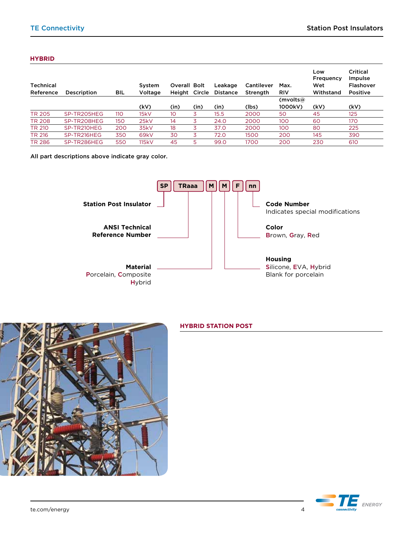#### **HYBRID**

| Technical<br>Reference | Description | BIL | System<br>Voltage | <b>Overall Bolt</b><br>Height Circle |      | Leakage<br><b>Distance</b> | Cantilever<br><b>Strength</b> | Max.<br><b>RIV</b> | Low<br>Frequency<br>Wet<br>Withstand | Critical<br>Impulse<br><b>Flashover</b><br><b>Positive</b> |
|------------------------|-------------|-----|-------------------|--------------------------------------|------|----------------------------|-------------------------------|--------------------|--------------------------------------|------------------------------------------------------------|
|                        |             |     |                   |                                      |      |                            |                               | (mvolts $@$        |                                      |                                                            |
|                        |             |     | (kV)              | (in)                                 | (in) | (in)                       | (lbs)                         | 1000kV)            | (kV)                                 | (kV)                                                       |
| <b>TR 205</b>          | SP-TR205HEG | 110 | 15kV              | 10                                   | 3    | 15.5                       | 2000                          | 50                 | 45                                   | 125                                                        |
| <b>TR 208</b>          | SP-TR208HEG | 150 | 25kV              | 14                                   | 3    | 24.0                       | 2000                          | 100                | 60                                   | 170                                                        |
| TR 210                 | SP-TR210HEG | 200 | 35kV              | 18                                   | 3    | 37.0                       | 2000                          | 100                | 80                                   | 225                                                        |
| TR 216                 | SP-TR216HEG | 350 | 69kV              | 30                                   | 3    | 72.0                       | 1500                          | 200                | 145                                  | 390                                                        |
| <b>TR 286</b>          | SP-TR286HEG | 550 | 115kV             | 45                                   | 5    | 99.0                       | 1700                          | 200                | 230                                  | 610                                                        |

All part descriptions above indicate gray color.





# **HYBRID Station Post**

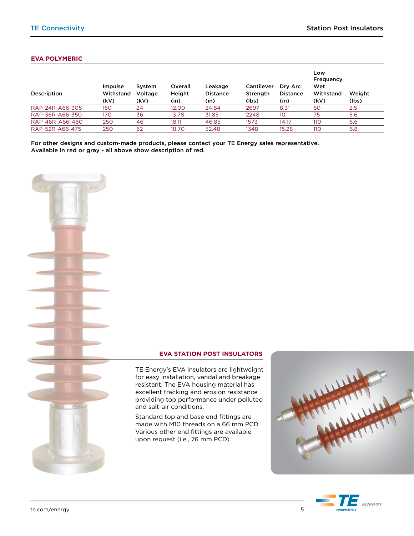### **EVA Polymeric**

| Description     | Impulse<br>Withstand | System<br>Voltage | Overall<br>Height | Leakage<br><b>Distance</b> | <b>Cantilever</b><br>Strength | Dry Arc<br><b>Distance</b> | Low<br>Frequency<br>Wet<br>Withstand | Weight |
|-----------------|----------------------|-------------------|-------------------|----------------------------|-------------------------------|----------------------------|--------------------------------------|--------|
|                 | (kV)                 | (kV)              | (in)              | (in)                       | (lbs)                         | (in)                       | (kV)                                 | (lbs)  |
| RAP-24R-A66-305 | 150                  | 24                | 12.00             | 24.84                      | 2697                          | 8.31                       | 50                                   | 2.5    |
| RAP-36R-A66-350 | 170                  | 36                | 13.78             | 31.85                      | 2248                          | 10                         | 75                                   | 5.6    |
| RAP-46R-A66-460 | 250                  | 46                | 18.11             | 46.85                      | 1573                          | 14.17                      | 110                                  | 6.6    |
| RAP-52R-A66-475 | 250                  | 52                | 18.70             | 52.48                      | 1348                          | 15.28                      | 110                                  | 6.8    |

For other designs and custom-made products, please contact your TE Energy sales representative. Available in red or gray - all above show description of red. 



#### **EVA Station Post insulators**



TE Energy's EVA insulators are lightweight for easy installation, vandal and breakage resistant. The EVA housing material has excellent tracking and erosion resistance providing top performance under polluted and salt-air conditions.

Standard top and base end fittings are made with M10 threads on a 66 mm PCD. Various other end fittings are available upon request (i.e., 76 mm PCD).